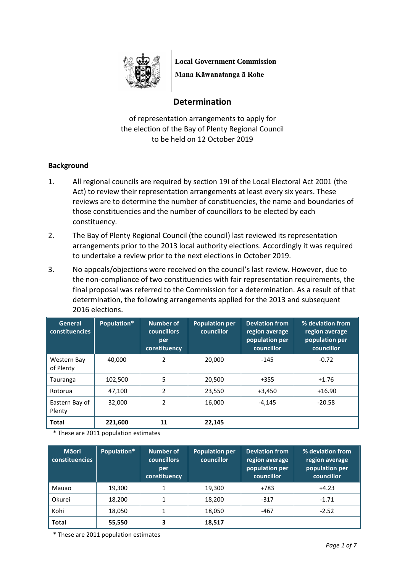

**Local Government Commission Mana Kāwanatanga ā Rohe**

# **Determination**

of representation arrangements to apply for the election of the Bay of Plenty Regional Council to be held on 12 October 2019

# **Background**

- 1. All regional councils are required by section 19I of the Local Electoral Act 2001 (the Act) to review their representation arrangements at least every six years. These reviews are to determine the number of constituencies, the name and boundaries of those constituencies and the number of councillors to be elected by each constituency.
- 2. The Bay of Plenty Regional Council (the council) last reviewed its representation arrangements prior to the 2013 local authority elections. Accordingly it was required to undertake a review prior to the next elections in October 2019.
- 3. No appeals/objections were received on the council's last review. However, due to the non-compliance of two constituencies with fair representation requirements, the final proposal was referred to the Commission for a determination. As a result of that determination, the following arrangements applied for the 2013 and subsequent 2016 elections.

| <b>General</b><br><b>constituencies</b> | Population* | <b>Number of</b><br><b>councillors</b><br>per<br>constituency | <b>Population per</b><br>councillor | <b>Deviation from</b><br>region average<br>population per<br>councillor | % deviation from<br>region average<br>population per<br>councillor |
|-----------------------------------------|-------------|---------------------------------------------------------------|-------------------------------------|-------------------------------------------------------------------------|--------------------------------------------------------------------|
| Western Bay<br>of Plenty                | 40,000      | 2                                                             | 20,000                              | $-145$                                                                  | $-0.72$                                                            |
| Tauranga                                | 102,500     | 5                                                             | 20,500                              | $+355$                                                                  | $+1.76$                                                            |
| Rotorua                                 | 47,100      | 2                                                             | 23,550                              | $+3,450$                                                                | $+16.90$                                                           |
| Eastern Bay of<br>Plenty                | 32,000      | 2                                                             | 16,000                              | $-4.145$                                                                | $-20.58$                                                           |
| <b>Total</b>                            | 221,600     | 11                                                            | 22,145                              |                                                                         |                                                                    |

\* These are 2011 population estimates

| <b>M</b> āori<br>constituencies | Population* | <b>Number of</b><br><b>councillors</b><br>per<br>constituency | <b>Population per</b><br>councillor | <b>Deviation from</b><br>region average<br>population per<br>councillor | % deviation from<br>region average<br>population per<br>councillor |
|---------------------------------|-------------|---------------------------------------------------------------|-------------------------------------|-------------------------------------------------------------------------|--------------------------------------------------------------------|
| Mauao                           | 19,300      |                                                               | 19,300                              | $+783$                                                                  | $+4.23$                                                            |
| Okurei                          | 18,200      |                                                               | 18,200                              | $-317$                                                                  | $-1.71$                                                            |
| Kohi                            | 18,050      |                                                               | 18,050                              | -467                                                                    | $-2.52$                                                            |
| <b>Total</b>                    | 55,550      | 3                                                             | 18,517                              |                                                                         |                                                                    |

\* These are 2011 population estimates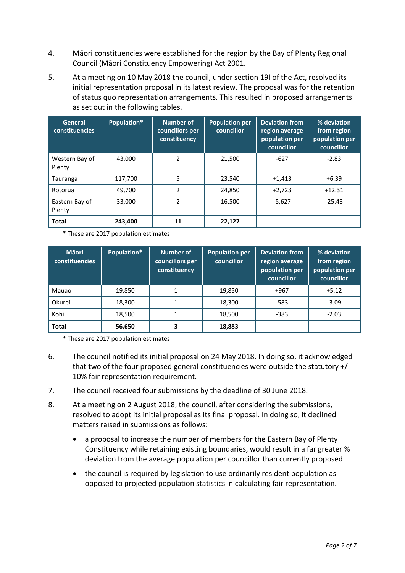- 4. Māori constituencies were established for the region by the Bay of Plenty Regional Council (Māori Constituency Empowering) Act 2001.
- 5. At a meeting on 10 May 2018 the council, under section 19I of the Act, resolved its initial representation proposal in its latest review. The proposal was for the retention of status quo representation arrangements. This resulted in proposed arrangements as set out in the following tables.

| General<br><b>constituencies</b> | Population* | <b>Number of</b><br>councillors per<br>constituency | <b>Population per</b><br>councillor | <b>Deviation from</b><br>region average<br>population per<br>councillor | % deviation<br>from region<br>population per<br>councillor |
|----------------------------------|-------------|-----------------------------------------------------|-------------------------------------|-------------------------------------------------------------------------|------------------------------------------------------------|
| Western Bay of<br>Plenty         | 43.000      | 2                                                   | 21.500                              | $-627$                                                                  | $-2.83$                                                    |
| Tauranga                         | 117,700     | 5                                                   | 23,540                              | $+1,413$                                                                | $+6.39$                                                    |
| Rotorua                          | 49.700      | 2                                                   | 24,850                              | $+2,723$                                                                | $+12.31$                                                   |
| Eastern Bay of<br>Plenty         | 33,000      | 2                                                   | 16,500                              | $-5,627$                                                                | $-25.43$                                                   |
| <b>Total</b>                     | 243,400     | 11                                                  | 22,127                              |                                                                         |                                                            |

\* These are 2017 population estimates

| <b>M</b> aori<br><b>constituencies</b> | Population* | Number of<br>councillors per<br>constituency | <b>Population per</b><br>councillor | <b>Deviation from</b><br>region average<br>population per<br>councillor | % deviation<br>from region<br>population per<br>councillor |
|----------------------------------------|-------------|----------------------------------------------|-------------------------------------|-------------------------------------------------------------------------|------------------------------------------------------------|
| Mauao                                  | 19,850      | 1                                            | 19,850                              | $+967$                                                                  | $+5.12$                                                    |
| Okurei                                 | 18,300      | 1                                            | 18,300                              | $-583$                                                                  | $-3.09$                                                    |
| Kohi                                   | 18,500      | 1                                            | 18,500                              | $-383$                                                                  | $-2.03$                                                    |
| <b>Total</b>                           | 56,650      | 3                                            | 18,883                              |                                                                         |                                                            |

\* These are 2017 population estimates

- 6. The council notified its initial proposal on 24 May 2018. In doing so, it acknowledged that two of the four proposed general constituencies were outside the statutory +/- 10% fair representation requirement.
- 7. The council received four submissions by the deadline of 30 June 2018.
- 8. At a meeting on 2 August 2018, the council, after considering the submissions, resolved to adopt its initial proposal as its final proposal. In doing so, it declined matters raised in submissions as follows:
	- a proposal to increase the number of members for the Eastern Bay of Plenty Constituency while retaining existing boundaries, would result in a far greater % deviation from the average population per councillor than currently proposed
	- the council is required by legislation to use ordinarily resident population as opposed to projected population statistics in calculating fair representation.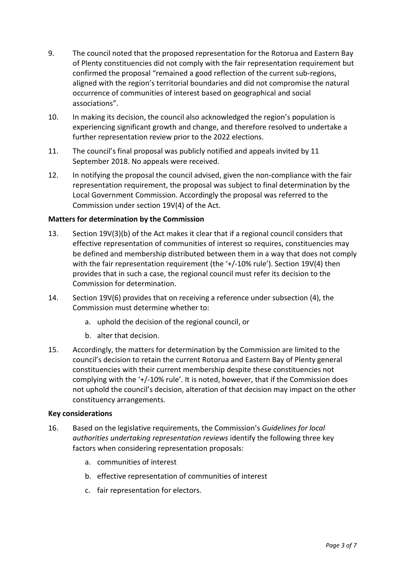- 9. The council noted that the proposed representation for the Rotorua and Eastern Bay of Plenty constituencies did not comply with the fair representation requirement but confirmed the proposal "remained a good reflection of the current sub-regions, aligned with the region's territorial boundaries and did not compromise the natural occurrence of communities of interest based on geographical and social associations".
- 10. In making its decision, the council also acknowledged the region's population is experiencing significant growth and change, and therefore resolved to undertake a further representation review prior to the 2022 elections.
- 11. The council's final proposal was publicly notified and appeals invited by 11 September 2018. No appeals were received.
- 12. In notifying the proposal the council advised, given the non-compliance with the fair representation requirement, the proposal was subject to final determination by the Local Government Commission. Accordingly the proposal was referred to the Commission under section 19V(4) of the Act.

# **Matters for determination by the Commission**

- 13. Section 19V(3)(b) of the Act makes it clear that if a regional council considers that effective representation of communities of interest so requires, constituencies may be defined and membership distributed between them in a way that does not comply with the fair representation requirement (the '+/-10% rule'). Section 19V(4) then provides that in such a case, the regional council must refer its decision to the Commission for determination.
- 14. Section 19V(6) provides that on receiving a reference under subsection (4), the Commission must determine whether to:
	- a. uphold the decision of the regional council, or
	- b. alter that decision.
- 15. Accordingly, the matters for determination by the Commission are limited to the council's decision to retain the current Rotorua and Eastern Bay of Plenty general constituencies with their current membership despite these constituencies not complying with the '+/-10% rule'. It is noted, however, that if the Commission does not uphold the council's decision, alteration of that decision may impact on the other constituency arrangements.

# **Key considerations**

- 16. Based on the legislative requirements, the Commission's *Guidelines for local authorities undertaking representation reviews* identify the following three key factors when considering representation proposals:
	- a. communities of interest
	- b. effective representation of communities of interest
	- c. fair representation for electors.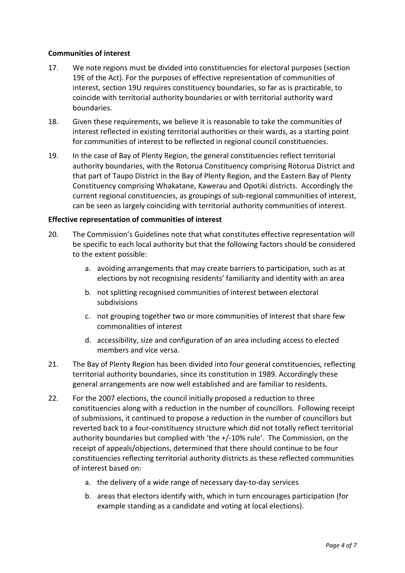# **Communities of interest**

- 17. We note regions must be divided into constituencies for electoral purposes (section 19E of the Act). For the purposes of effective representation of communities of interest, section 19U requires constituency boundaries, so far as is practicable, to coincide with territorial authority boundaries or with territorial authority ward boundaries.
- 18. Given these requirements, we believe it is reasonable to take the communities of interest reflected in existing territorial authorities or their wards, as a starting point for communities of interest to be reflected in regional council constituencies.
- 19. In the case of Bay of Plenty Region, the general constituencies reflect territorial authority boundaries, with the Rotorua Constituency comprising Rotorua District and that part of Taupo District in the Bay of Plenty Region, and the Eastern Bay of Plenty Constituency comprising Whakatane, Kawerau and Opotiki districts. Accordingly the current regional constituencies, as groupings of sub-regional communities of interest, can be seen as largely coinciding with territorial authority communities of interest.

#### **Effective representation of communities of interest**

- 20. The Commission's Guidelines note that what constitutes effective representation will be specific to each local authority but that the following factors should be considered to the extent possible:
	- a. avoiding arrangements that may create barriers to participation, such as at elections by not recognising residents' familiarity and identity with an area
	- b. not splitting recognised communities of interest between electoral subdivisions
	- c. not grouping together two or more communities of interest that share few commonalities of interest
	- d. accessibility, size and configuration of an area including access to elected members and vice versa.
- 21. The Bay of Plenty Region has been divided into four general constituencies, reflecting territorial authority boundaries, since its constitution in 1989. Accordingly these general arrangements are now well established and are familiar to residents.
- 22. For the 2007 elections, the council initially proposed a reduction to three constituencies along with a reduction in the number of councillors. Following receipt of submissions, it continued to propose a reduction in the number of councillors but reverted back to a four-constituency structure which did not totally reflect territorial authority boundaries but complied with 'the +/-10% rule'. The Commission, on the receipt of appeals/objections, determined that there should continue to be four constituencies reflecting territorial authority districts as these reflected communities of interest based on:
	- a. the delivery of a wide range of necessary day-to-day services
	- b. areas that electors identify with, which in turn encourages participation (for example standing as a candidate and voting at local elections).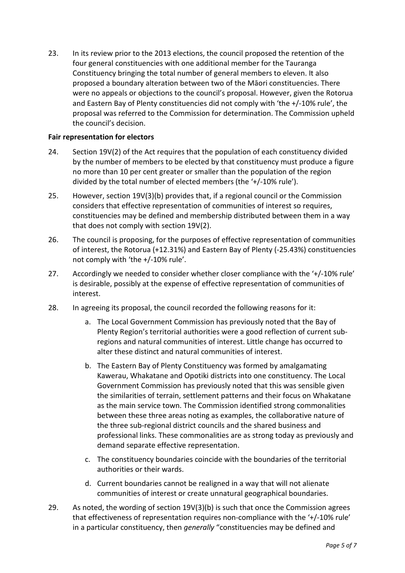23. In its review prior to the 2013 elections, the council proposed the retention of the four general constituencies with one additional member for the Tauranga Constituency bringing the total number of general members to eleven. It also proposed a boundary alteration between two of the Māori constituencies. There were no appeals or objections to the council's proposal. However, given the Rotorua and Eastern Bay of Plenty constituencies did not comply with 'the +/-10% rule', the proposal was referred to the Commission for determination. The Commission upheld the council's decision.

# **Fair representation for electors**

- 24. Section 19V(2) of the Act requires that the population of each constituency divided by the number of members to be elected by that constituency must produce a figure no more than 10 per cent greater or smaller than the population of the region divided by the total number of elected members (the '+/-10% rule').
- 25. However, section 19V(3)(b) provides that, if a regional council or the Commission considers that effective representation of communities of interest so requires, constituencies may be defined and membership distributed between them in a way that does not comply with section 19V(2).
- 26. The council is proposing, for the purposes of effective representation of communities of interest, the Rotorua (+12.31%) and Eastern Bay of Plenty (-25.43%) constituencies not comply with 'the +/-10% rule'.
- 27. Accordingly we needed to consider whether closer compliance with the '+/-10% rule' is desirable, possibly at the expense of effective representation of communities of interest.
- 28. In agreeing its proposal, the council recorded the following reasons for it:
	- a. The Local Government Commission has previously noted that the Bay of Plenty Region's territorial authorities were a good reflection of current subregions and natural communities of interest. Little change has occurred to alter these distinct and natural communities of interest.
	- b. The Eastern Bay of Plenty Constituency was formed by amalgamating Kawerau, Whakatane and Opotiki districts into one constituency. The Local Government Commission has previously noted that this was sensible given the similarities of terrain, settlement patterns and their focus on Whakatane as the main service town. The Commission identified strong commonalities between these three areas noting as examples, the collaborative nature of the three sub-regional district councils and the shared business and professional links. These commonalities are as strong today as previously and demand separate effective representation.
	- c. The constituency boundaries coincide with the boundaries of the territorial authorities or their wards.
	- d. Current boundaries cannot be realigned in a way that will not alienate communities of interest or create unnatural geographical boundaries.
- 29. As noted, the wording of section 19V(3)(b) is such that once the Commission agrees that effectiveness of representation requires non-compliance with the '+/-10% rule' in a particular constituency, then *generally* "constituencies may be defined and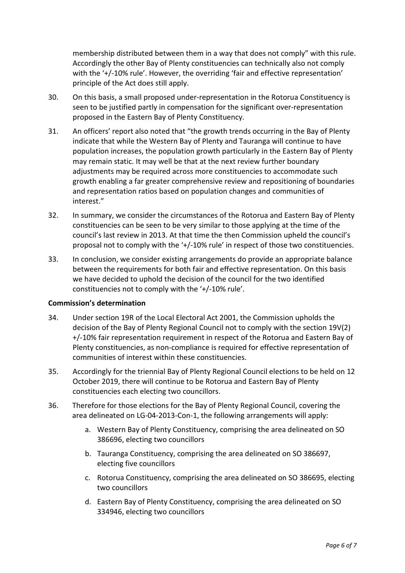membership distributed between them in a way that does not comply" with this rule. Accordingly the other Bay of Plenty constituencies can technically also not comply with the '+/-10% rule'. However, the overriding 'fair and effective representation' principle of the Act does still apply.

- 30. On this basis, a small proposed under-representation in the Rotorua Constituency is seen to be justified partly in compensation for the significant over-representation proposed in the Eastern Bay of Plenty Constituency.
- 31. An officers' report also noted that "the growth trends occurring in the Bay of Plenty indicate that while the Western Bay of Plenty and Tauranga will continue to have population increases, the population growth particularly in the Eastern Bay of Plenty may remain static. It may well be that at the next review further boundary adjustments may be required across more constituencies to accommodate such growth enabling a far greater comprehensive review and repositioning of boundaries and representation ratios based on population changes and communities of interest."
- 32. In summary, we consider the circumstances of the Rotorua and Eastern Bay of Plenty constituencies can be seen to be very similar to those applying at the time of the council's last review in 2013. At that time the then Commission upheld the council's proposal not to comply with the '+/-10% rule' in respect of those two constituencies.
- 33. In conclusion, we consider existing arrangements do provide an appropriate balance between the requirements for both fair and effective representation. On this basis we have decided to uphold the decision of the council for the two identified constituencies not to comply with the '+/-10% rule'.

# **Commission's determination**

- 34. Under section 19R of the Local Electoral Act 2001, the Commission upholds the decision of the Bay of Plenty Regional Council not to comply with the section 19V(2) +/-10% fair representation requirement in respect of the Rotorua and Eastern Bay of Plenty constituencies, as non-compliance is required for effective representation of communities of interest within these constituencies.
- 35. Accordingly for the triennial Bay of Plenty Regional Council elections to be held on 12 October 2019, there will continue to be Rotorua and Eastern Bay of Plenty constituencies each electing two councillors.
- 36. Therefore for those elections for the Bay of Plenty Regional Council, covering the area delineated on LG-04-2013-Con-1, the following arrangements will apply:
	- a. Western Bay of Plenty Constituency, comprising the area delineated on SO 386696, electing two councillors
	- b. Tauranga Constituency, comprising the area delineated on SO 386697, electing five councillors
	- c. Rotorua Constituency, comprising the area delineated on SO 386695, electing two councillors
	- d. Eastern Bay of Plenty Constituency, comprising the area delineated on SO 334946, electing two councillors